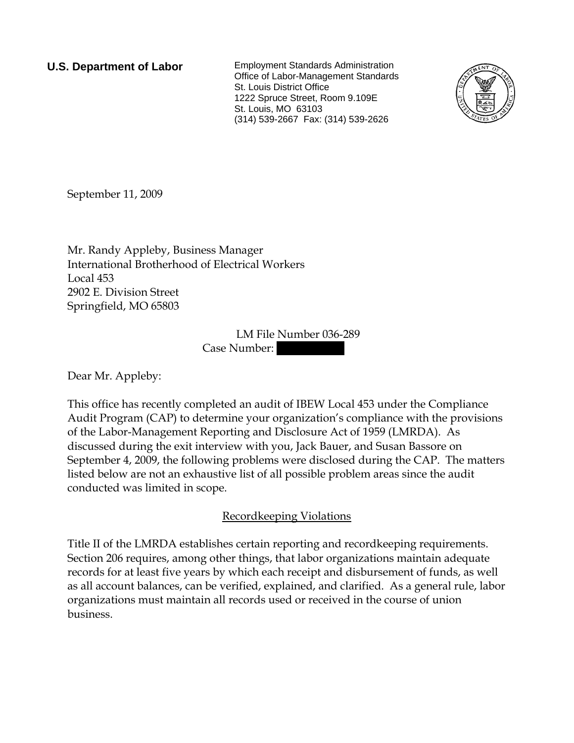**U.S. Department of Labor** Employment Standards Administration Office of Labor-Management Standards St. Louis District Office 1222 Spruce Street, Room 9.109E St. Louis, MO 63103 (314) 539-2667 Fax: (314) 539-2626



September 11, 2009

Mr. Randy Appleby, Business Manager International Brotherhood of Electrical Workers Local 453 2902 E. Division Street Springfield, MO 65803

> LM File Number 036-289 Case Number:

Dear Mr. Appleby:

This office has recently completed an audit of IBEW Local 453 under the Compliance Audit Program (CAP) to determine your organization's compliance with the provisions of the Labor-Management Reporting and Disclosure Act of 1959 (LMRDA). As discussed during the exit interview with you, Jack Bauer, and Susan Bassore on September 4, 2009, the following problems were disclosed during the CAP. The matters listed below are not an exhaustive list of all possible problem areas since the audit conducted was limited in scope.

## Recordkeeping Violations

Title II of the LMRDA establishes certain reporting and recordkeeping requirements. Section 206 requires, among other things, that labor organizations maintain adequate records for at least five years by which each receipt and disbursement of funds, as well as all account balances, can be verified, explained, and clarified. As a general rule, labor organizations must maintain all records used or received in the course of union business.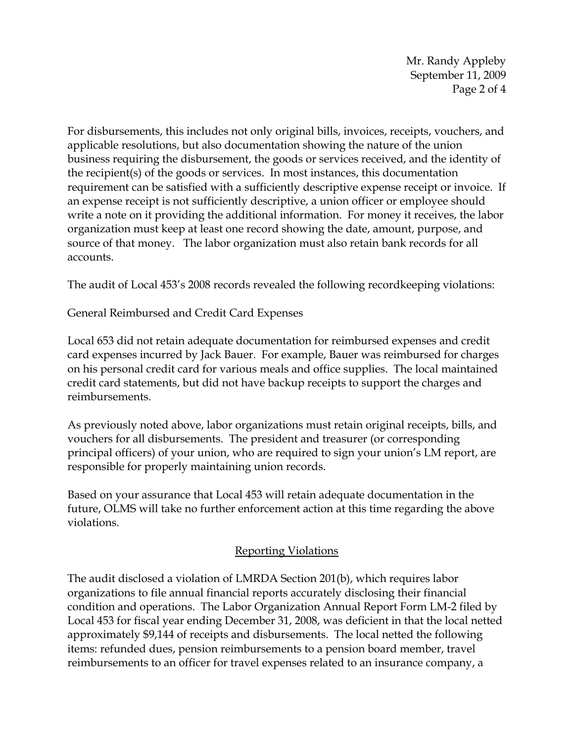Mr. Randy Appleby September 11, 2009 Page 2 of 4

For disbursements, this includes not only original bills, invoices, receipts, vouchers, and applicable resolutions, but also documentation showing the nature of the union business requiring the disbursement, the goods or services received, and the identity of the recipient(s) of the goods or services. In most instances, this documentation requirement can be satisfied with a sufficiently descriptive expense receipt or invoice. If an expense receipt is not sufficiently descriptive, a union officer or employee should write a note on it providing the additional information. For money it receives, the labor organization must keep at least one record showing the date, amount, purpose, and source of that money. The labor organization must also retain bank records for all accounts.

The audit of Local 453's 2008 records revealed the following recordkeeping violations:

General Reimbursed and Credit Card Expenses

Local 653 did not retain adequate documentation for reimbursed expenses and credit card expenses incurred by Jack Bauer. For example, Bauer was reimbursed for charges on his personal credit card for various meals and office supplies. The local maintained credit card statements, but did not have backup receipts to support the charges and reimbursements.

As previously noted above, labor organizations must retain original receipts, bills, and vouchers for all disbursements. The president and treasurer (or corresponding principal officers) of your union, who are required to sign your union's LM report, are responsible for properly maintaining union records.

Based on your assurance that Local 453 will retain adequate documentation in the future, OLMS will take no further enforcement action at this time regarding the above violations.

## Reporting Violations

The audit disclosed a violation of LMRDA Section 201(b), which requires labor organizations to file annual financial reports accurately disclosing their financial condition and operations. The Labor Organization Annual Report Form LM-2 filed by Local 453 for fiscal year ending December 31, 2008, was deficient in that the local netted approximately \$9,144 of receipts and disbursements. The local netted the following items: refunded dues, pension reimbursements to a pension board member, travel reimbursements to an officer for travel expenses related to an insurance company, a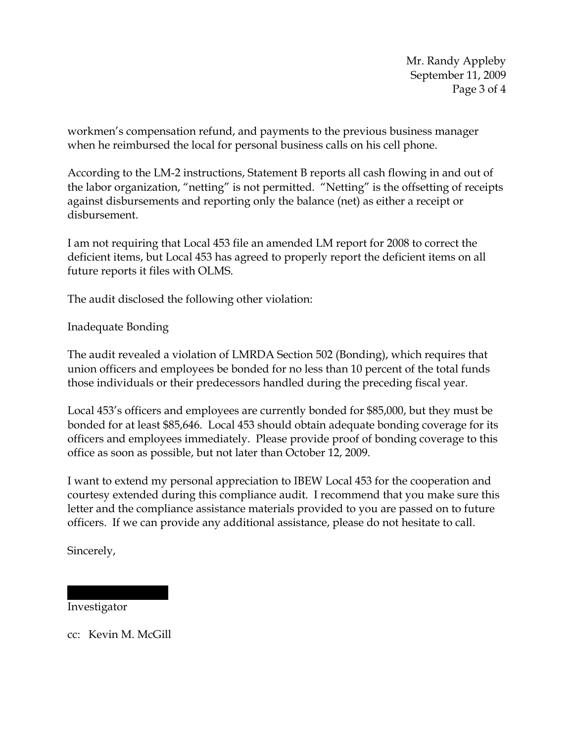Mr. Randy Appleby September 11, 2009 Page 3 of 4

workmen's compensation refund, and payments to the previous business manager when he reimbursed the local for personal business calls on his cell phone.

According to the LM-2 instructions, Statement B reports all cash flowing in and out of the labor organization, "netting" is not permitted. "Netting" is the offsetting of receipts against disbursements and reporting only the balance (net) as either a receipt or disbursement.

I am not requiring that Local 453 file an amended LM report for 2008 to correct the deficient items, but Local 453 has agreed to properly report the deficient items on all future reports it files with OLMS.

The audit disclosed the following other violation:

Inadequate Bonding

The audit revealed a violation of LMRDA Section 502 (Bonding), which requires that union officers and employees be bonded for no less than 10 percent of the total funds those individuals or their predecessors handled during the preceding fiscal year.

Local 453's officers and employees are currently bonded for \$85,000, but they must be bonded for at least \$85,646. Local 453 should obtain adequate bonding coverage for its officers and employees immediately. Please provide proof of bonding coverage to this office as soon as possible, but not later than October 12, 2009.

I want to extend my personal appreciation to IBEW Local 453 for the cooperation and courtesy extended during this compliance audit. I recommend that you make sure this letter and the compliance assistance materials provided to you are passed on to future officers. If we can provide any additional assistance, please do not hesitate to call.

Sincerely,

Investigator

cc: Kevin M. McGill

||||||| || |||||